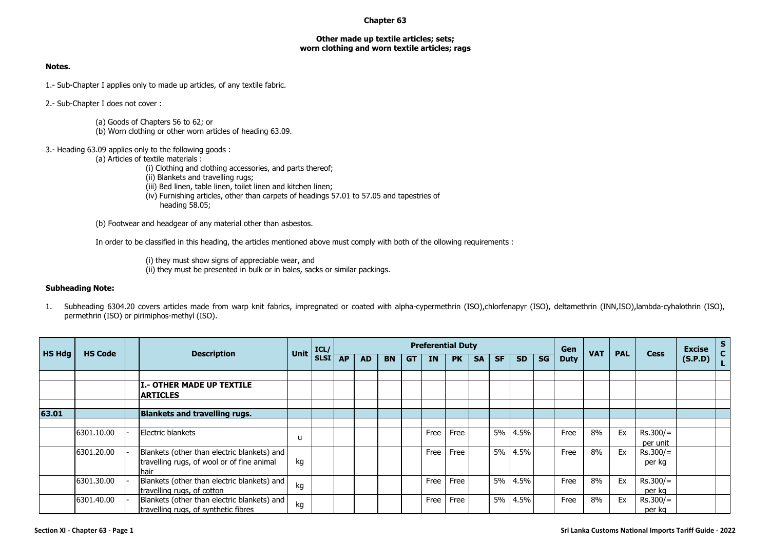## **Chapter 63**

## **Other made up textile articles; sets; worn clothing and worn textile articles; rags**

## **Notes.**

1.- Sub-Chapter I applies only to made up articles, of any textile fabric.

2.- Sub-Chapter I does not cover :

(a) Goods of Chapters 56 to 62; or (b) Worn clothing or other worn articles of heading 63.09.

3.- Heading 63.09 applies only to the following goods :

(a) Articles of textile materials :

(i) Clothing and clothing accessories, and parts thereof;

(ii) Blankets and travelling rugs;

(iii) Bed linen, table linen, toilet linen and kitchen linen;

(iv) Furnishing articles, other than carpets of headings 57.01 to 57.05 and tapestries of heading 58.05;

(b) Footwear and headgear of any material other than asbestos.

In order to be classified in this heading, the articles mentioned above must comply with both of the ollowing requirements :

(i) they must show signs of appreciable wear, and (ii) they must be presented in bulk or in bales, sacks or similar packings.

## **Subheading Note:**

1. Subheading 6304.20 covers articles made from warp knit fabrics, impregnated or coated with alpha-cypermethrin (ISO),chlorfenapyr (ISO), deltamethrin (INN,ISO),lambda-cyhalothrin (ISO), permethrin (ISO) or pirimiphos-methyl (ISO).

| <b>HS Hdg</b><br><b>HS Code</b> |            |                                              | ICL/        |             |    |           |           | <b>Preferential Duty</b> |      |           |           |           |           | Gen       |             |            |            | <b>Excise</b> | $\mathsf{s}$<br>$\mathbf{C}$ |  |
|---------------------------------|------------|----------------------------------------------|-------------|-------------|----|-----------|-----------|--------------------------|------|-----------|-----------|-----------|-----------|-----------|-------------|------------|------------|---------------|------------------------------|--|
|                                 |            | <b>Description</b>                           | <b>Unit</b> | <b>SLSI</b> | AP | <b>AD</b> | <b>BN</b> | <b>GT</b>                | ΙN   | <b>PK</b> | <b>SA</b> | <b>SF</b> | <b>SD</b> | <b>SG</b> | <b>Duty</b> | <b>VAT</b> | <b>PAL</b> | <b>Cess</b>   | (S.P.D)                      |  |
|                                 |            |                                              |             |             |    |           |           |                          |      |           |           |           |           |           |             |            |            |               |                              |  |
|                                 |            | I.- OTHER MADE UP TEXTILE<br><b>ARTICLES</b> |             |             |    |           |           |                          |      |           |           |           |           |           |             |            |            |               |                              |  |
|                                 |            |                                              |             |             |    |           |           |                          |      |           |           |           |           |           |             |            |            |               |                              |  |
| 63.01                           |            | <b>Blankets and travelling rugs.</b>         |             |             |    |           |           |                          |      |           |           |           |           |           |             |            |            |               |                              |  |
|                                 |            |                                              |             |             |    |           |           |                          |      |           |           |           |           |           |             |            |            |               |                              |  |
|                                 | 6301.10.00 | Electric blankets                            |             |             |    |           |           |                          | Free | Free      |           | <b>5%</b> | 4.5%      |           | Free        | 8%         | Ex         | $Rs.300/=$    |                              |  |
|                                 |            |                                              | u           |             |    |           |           |                          |      |           |           |           |           |           |             |            |            | per unit      |                              |  |
|                                 | 6301.20.00 | Blankets (other than electric blankets) and  |             |             |    |           |           |                          | Free | Free      |           | 5%        | 4.5%      |           | Free        | 8%         | Ex         | $Rs.300/=$    |                              |  |
|                                 |            | travelling rugs, of wool or of fine animal   | kg          |             |    |           |           |                          |      |           |           |           |           |           |             |            |            | per kg        |                              |  |
|                                 |            | hair                                         |             |             |    |           |           |                          |      |           |           |           |           |           |             |            |            |               |                              |  |
|                                 | 6301.30.00 | Blankets (other than electric blankets) and  | kg          |             |    |           |           |                          | Free | Free      |           |           | 5% 4.5%   |           | Free        | 8%         | Ex         | $Rs.300/=$    |                              |  |
|                                 |            | travelling rugs, of cotton                   |             |             |    |           |           |                          |      |           |           |           |           |           |             |            |            | per kg        |                              |  |
|                                 | 6301.40.00 | Blankets (other than electric blankets) and  | kg          |             |    |           |           |                          | Free | Free      |           |           | 5% 4.5%   |           | Free        | 8%         | Ex         | $Rs.300/=$    |                              |  |
|                                 |            | travelling rugs, of synthetic fibres         |             |             |    |           |           |                          |      |           |           |           |           |           |             |            |            | per kg        |                              |  |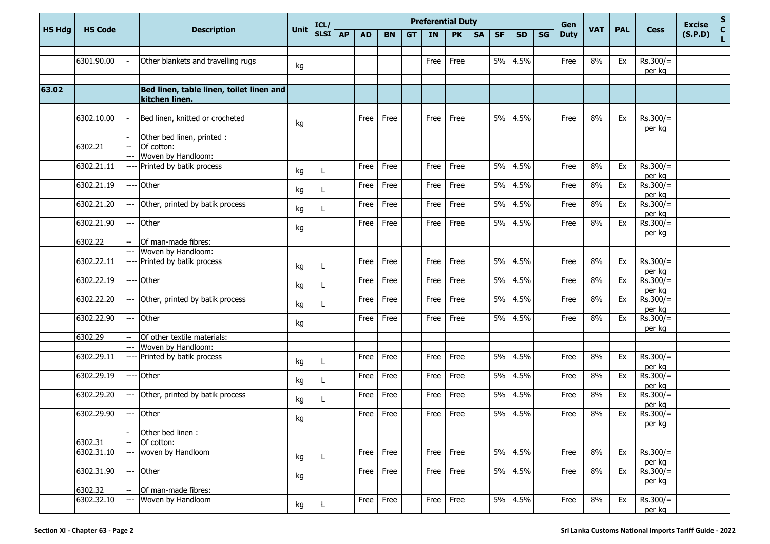|               |                              |                    |                                                            |      | ICL/      |           |           |           |    |           | <b>Preferential Duty</b> |           |           |           |             | Gen        |            |             |                      | <b>Excise</b>                | ${\sf s}$ |
|---------------|------------------------------|--------------------|------------------------------------------------------------|------|-----------|-----------|-----------|-----------|----|-----------|--------------------------|-----------|-----------|-----------|-------------|------------|------------|-------------|----------------------|------------------------------|-----------|
| <b>HS Hdg</b> | <b>HS Code</b><br>6301.90.00 | <b>Description</b> | <b>Unit</b>                                                | SLSI | <b>AP</b> | <b>AD</b> | <b>BN</b> | <b>GT</b> | IN | <b>PK</b> | <b>SA</b>                | <b>SF</b> | <b>SD</b> | <b>SG</b> | <b>Duty</b> | <b>VAT</b> | <b>PAL</b> | <b>Cess</b> | (S.P.D)              | $\mathbf{C}$<br>$\mathbf{L}$ |           |
|               |                              |                    |                                                            |      |           |           |           |           |    |           |                          |           |           |           |             |            |            |             |                      |                              |           |
|               |                              |                    | Other blankets and travelling rugs                         | kg   |           |           |           |           |    | Free      | Free                     |           | 5%        | 4.5%      |             | Free       | 8%         | Ex          | $Rs.300/=$<br>per kg |                              |           |
| 63.02         |                              |                    | Bed linen, table linen, toilet linen and<br>kitchen linen. |      |           |           |           |           |    |           |                          |           |           |           |             |            |            |             |                      |                              |           |
|               |                              |                    |                                                            |      |           |           |           |           |    |           |                          |           |           |           |             |            |            |             |                      |                              |           |
|               | 6302.10.00                   |                    | Bed linen, knitted or crocheted                            | kg   |           |           | Free      | Free      |    | Free      | Free                     |           | 5%        | 4.5%      |             | Free       | 8%         | Ex          | $Rs.300/=$<br>per kg |                              |           |
|               |                              |                    | Other bed linen, printed :                                 |      |           |           |           |           |    |           |                          |           |           |           |             |            |            |             |                      |                              |           |
|               | 6302.21                      |                    | Of cotton:                                                 |      |           |           |           |           |    |           |                          |           |           |           |             |            |            |             |                      |                              |           |
|               |                              |                    | Woven by Handloom:                                         |      |           |           |           |           |    |           |                          |           |           |           |             |            |            |             |                      |                              |           |
|               | 6302.21.11                   |                    | Printed by batik process                                   | kg   |           |           | Free      | Free      |    | Free      | Free                     |           | 5%        | 4.5%      |             | Free       | 8%         | Ex          | $Rs.300/=$<br>per kg |                              |           |
|               | 6302.21.19                   |                    | Other                                                      | kg   | L         |           | Free      | Free      |    | Free      | Free                     |           | 5%        | 4.5%      |             | Free       | 8%         | Ex          | $Rs.300/=$<br>per kg |                              |           |
|               | 6302.21.20                   |                    | Other, printed by batik process                            | kg   |           |           | Free      | Free      |    | Free      | Free                     |           | 5%        | 4.5%      |             | Free       | 8%         | Ex          | $Rs.300/=$<br>per kg |                              |           |
|               | 6302.21.90                   |                    | Other                                                      | kg   |           |           | Free      | Free      |    | Free      | Free                     |           | 5%        | 4.5%      |             | Free       | 8%         | Ex          | $Rs.300/=$<br>per kg |                              |           |
|               | 6302.22                      |                    | Of man-made fibres:                                        |      |           |           |           |           |    |           |                          |           |           |           |             |            |            |             |                      |                              |           |
|               |                              |                    | Woven by Handloom:                                         |      |           |           |           |           |    |           |                          |           |           |           |             |            |            |             |                      |                              |           |
|               | 6302.22.11                   |                    | Printed by batik process                                   | kg   |           |           | Free      | Free      |    | Free      | Free                     |           | 5%        | 4.5%      |             | Free       | 8%         | Ex          | $Rs.300/=$<br>per kg |                              |           |
|               | 6302.22.19                   |                    | Other                                                      | kg   |           |           | Free      | Free      |    | Free      | Free                     |           | 5%        | 4.5%      |             | Free       | 8%         | Ex          | $Rs.300/=$<br>per kg |                              |           |
|               | 6302.22.20                   |                    | Other, printed by batik process                            | kg   |           |           | Free      | Free      |    | Free      | Free                     |           | 5%        | 4.5%      |             | Free       | 8%         | Ex          | $Rs.300/=$<br>per kg |                              |           |
|               | 6302.22.90                   |                    | Other                                                      | kg   |           |           | Free      | Free      |    | Free      | Free                     |           | 5%        | 4.5%      |             | Free       | 8%         | Ex          | $Rs.300/=$<br>per kg |                              |           |
|               | 6302.29                      |                    | Of other textile materials:                                |      |           |           |           |           |    |           |                          |           |           |           |             |            |            |             |                      |                              |           |
|               |                              |                    | Woven by Handloom:                                         |      |           |           |           |           |    |           |                          |           |           |           |             |            |            |             |                      |                              |           |
|               | 6302.29.11                   |                    | Printed by batik process                                   | kg   |           |           | Free      | Free      |    | Free      | Free                     |           | 5%        | 4.5%      |             | Free       | 8%         | Ex          | $Rs.300/=$<br>per kg |                              |           |
|               | 6302.29.19                   |                    | Other                                                      | kg   |           |           | Free      | Free      |    | Free      | Free                     |           | 5%        | 4.5%      |             | Free       | 8%         | Ex          | $Rs.300/=$<br>per kg |                              |           |
|               | 6302.29.20                   |                    | Other, printed by batik process                            | kg   | L         |           | Free      | Free      |    | Free      | Free                     |           | 5%        | 4.5%      |             | Free       | 8%         | Ex          | $Rs.300/=$<br>per kg |                              |           |
|               | 6302.29.90                   |                    | Other                                                      | kg   |           |           | Free      | Free      |    | Free      | Free                     |           | 5%        | 4.5%      |             | Free       | 8%         | Ex          | $Rs.300/=$<br>per kg |                              |           |
|               |                              |                    | Other bed linen :                                          |      |           |           |           |           |    |           |                          |           |           |           |             |            |            |             |                      |                              |           |
|               | 6302.31                      |                    | Of cotton:                                                 |      |           |           |           |           |    |           |                          |           |           |           |             |            |            |             |                      |                              |           |
|               | 6302.31.10                   |                    | woven by Handloom                                          | kg   | L         |           | Free      | Free      |    | Free      | Free                     |           |           | 5% 4.5%   |             | Free       | 8%         | Ex          | $Rs.300/=$<br>per kg |                              |           |
|               | 6302.31.90                   |                    | Other                                                      | kg   |           |           | Free      | Free      |    | Free      | Free                     |           |           | 5% 4.5%   |             | Free       | 8%         | Ex          | $Rs.300/=$<br>per kg |                              |           |
|               | 6302.32                      |                    | Of man-made fibres:                                        |      |           |           |           |           |    |           |                          |           |           |           |             |            |            |             |                      |                              |           |
|               | 6302.32.10                   |                    | Woven by Handloom                                          | kg   |           |           | Free      | Free      |    | Free      | Free                     |           |           | 5% 4.5%   |             | Free       | 8%         | Ex          | $Rs.300/=$<br>per kg |                              |           |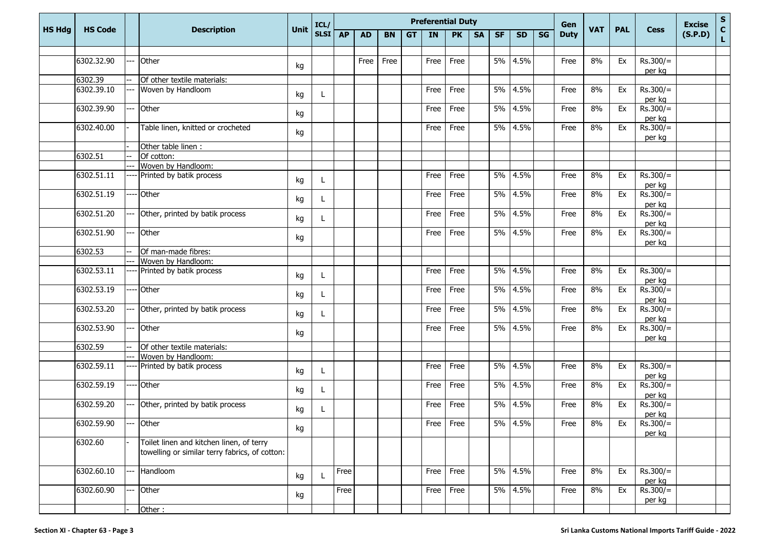|               | <b>Preferential Duty</b><br>ICL/ |  |                                                                                            |             |      |           |           |           |           | Gen  |           |           |           | <b>Excise</b> | ${\sf s}$ |             |            |            |                      |         |                              |
|---------------|----------------------------------|--|--------------------------------------------------------------------------------------------|-------------|------|-----------|-----------|-----------|-----------|------|-----------|-----------|-----------|---------------|-----------|-------------|------------|------------|----------------------|---------|------------------------------|
| <b>HS Hdg</b> | <b>HS Code</b>                   |  | <b>Description</b>                                                                         | <b>Unit</b> | SLSI | <b>AP</b> | <b>AD</b> | <b>BN</b> | <b>GT</b> | IN   | <b>PK</b> | <b>SA</b> | <b>SF</b> | <b>SD</b>     | SG        | <b>Duty</b> | <b>VAT</b> | <b>PAL</b> | <b>Cess</b>          | (S.P.D) | $\mathbf{C}$<br>$\mathbf{L}$ |
|               |                                  |  |                                                                                            |             |      |           |           |           |           |      |           |           |           |               |           |             |            |            |                      |         |                              |
|               | 6302.32.90                       |  | Other                                                                                      | kg          |      |           | Free      | Free      |           | Free | Free      |           |           | 5% 4.5%       |           | Free        | 8%         | Ex         | $Rs.300/=$<br>per kg |         |                              |
|               | 6302.39                          |  | Of other textile materials:                                                                |             |      |           |           |           |           |      |           |           |           |               |           |             |            |            |                      |         |                              |
|               | 6302.39.10                       |  | Woven by Handloom                                                                          | kg          |      |           |           |           |           | Free | Free      |           |           | 5% 4.5%       |           | Free        | 8%         | Ex         | $Rs.300/=$<br>per kg |         |                              |
|               | 6302.39.90                       |  | Other                                                                                      | kg          |      |           |           |           |           | Free | Free      |           |           | 5% 4.5%       |           | Free        | 8%         | Ex         | $Rs.300/=$<br>per kg |         |                              |
|               | 6302.40.00                       |  | Table linen, knitted or crocheted                                                          | kg          |      |           |           |           |           | Free | Free      |           |           | 5% 4.5%       |           | Free        | 8%         | Ex         | $Rs.300/=$<br>per kg |         |                              |
|               |                                  |  | Other table linen :                                                                        |             |      |           |           |           |           |      |           |           |           |               |           |             |            |            |                      |         |                              |
|               | 6302.51                          |  | Of cotton:                                                                                 |             |      |           |           |           |           |      |           |           |           |               |           |             |            |            |                      |         |                              |
|               |                                  |  | Woven by Handloom:                                                                         |             |      |           |           |           |           |      |           |           |           |               |           |             |            |            |                      |         |                              |
|               | 6302.51.11                       |  | Printed by batik process                                                                   | kg          | L    |           |           |           |           | Free | Free      |           |           | 5% 4.5%       |           | Free        | 8%         | Ex         | $Rs.300/=$<br>per kg |         |                              |
|               | 6302.51.19                       |  | Other                                                                                      | kg          | L    |           |           |           |           | Free | Free      |           | 5%        | 4.5%          |           | Free        | 8%         | Ex         | $Rs.300/=$<br>per kg |         |                              |
|               | 6302.51.20                       |  | Other, printed by batik process                                                            | kg          | L    |           |           |           |           | Free | Free      |           |           | 5% 4.5%       |           | Free        | 8%         | Ex         | $Rs.300/=$<br>per kg |         |                              |
|               | 6302.51.90                       |  | Other                                                                                      | kg          |      |           |           |           |           | Free | Free      |           |           | 5% 4.5%       |           | Free        | 8%         | Ex         | $Rs.300/=$<br>per kg |         |                              |
|               | 6302.53                          |  | Of man-made fibres:                                                                        |             |      |           |           |           |           |      |           |           |           |               |           |             |            |            |                      |         |                              |
|               |                                  |  | Woven by Handloom:                                                                         |             |      |           |           |           |           |      |           |           |           |               |           |             |            |            |                      |         |                              |
|               | 6302.53.11                       |  | Printed by batik process                                                                   | kg          |      |           |           |           |           | Free | Free      |           | 5%        | 4.5%          |           | Free        | 8%         | Ex         | $Rs.300/=$<br>per kg |         |                              |
|               | 6302.53.19                       |  | Other                                                                                      | kg          | L    |           |           |           |           | Free | Free      |           | 5%        | 4.5%          |           | Free        | 8%         | Ex         | $Rs.300/=$<br>per kg |         |                              |
|               | 6302.53.20                       |  | Other, printed by batik process                                                            | kg          |      |           |           |           |           | Free | Free      |           |           | 5% 4.5%       |           | Free        | 8%         | Ex         | $Rs.300/=$<br>per kg |         |                              |
|               | 6302.53.90                       |  | Other                                                                                      | kg          |      |           |           |           |           | Free | Free      |           |           | 5% 4.5%       |           | Free        | 8%         | Ex         | $Rs.300/=$<br>per kg |         |                              |
|               | 6302.59                          |  | Of other textile materials:                                                                |             |      |           |           |           |           |      |           |           |           |               |           |             |            |            |                      |         |                              |
|               |                                  |  | Woven by Handloom:                                                                         |             |      |           |           |           |           |      |           |           |           |               |           |             |            |            |                      |         |                              |
|               | 6302.59.11                       |  | Printed by batik process                                                                   | kg          | L    |           |           |           |           | Free | Free      |           |           | 5% 4.5%       |           | Free        | 8%         | Ex         | $Rs.300/=$<br>per kg |         |                              |
|               | 6302.59.19                       |  | Other                                                                                      | kg          |      |           |           |           |           | Free | Free      |           |           | 5% 4.5%       |           | Free        | 8%         | Ex         | $Rs.300/=$<br>per kg |         |                              |
|               | 6302.59.20                       |  | Other, printed by batik process                                                            | kg          | L    |           |           |           |           | Free | Free      |           |           | 5% 4.5%       |           | Free        | 8%         | Ex         | $Rs.300/=$<br>per kg |         |                              |
|               | 6302.59.90                       |  | Other                                                                                      | kg          |      |           |           |           |           |      | Free Free |           |           | 5% 4.5%       |           | Free        | 8%         | Ex         | $Rs.300/=$<br>per kg |         |                              |
|               | 6302.60                          |  | Toilet linen and kitchen linen, of terry<br>towelling or similar terry fabrics, of cotton: |             |      |           |           |           |           |      |           |           |           |               |           |             |            |            |                      |         |                              |
|               | 6302.60.10                       |  | Handloom                                                                                   | kg          |      | Free      |           |           |           |      | Free Free |           |           | 5% 4.5%       |           | Free        | 8%         | Ex         | $Rs.300/=$<br>per kg |         |                              |
|               | 6302.60.90                       |  | Other                                                                                      | kg          |      | Free      |           |           |           |      | Free Free |           |           | 5% 4.5%       |           | Free        | 8%         | Ex         | $Rs.300/=$<br>per kg |         |                              |
|               |                                  |  | Other:                                                                                     |             |      |           |           |           |           |      |           |           |           |               |           |             |            |            |                      |         |                              |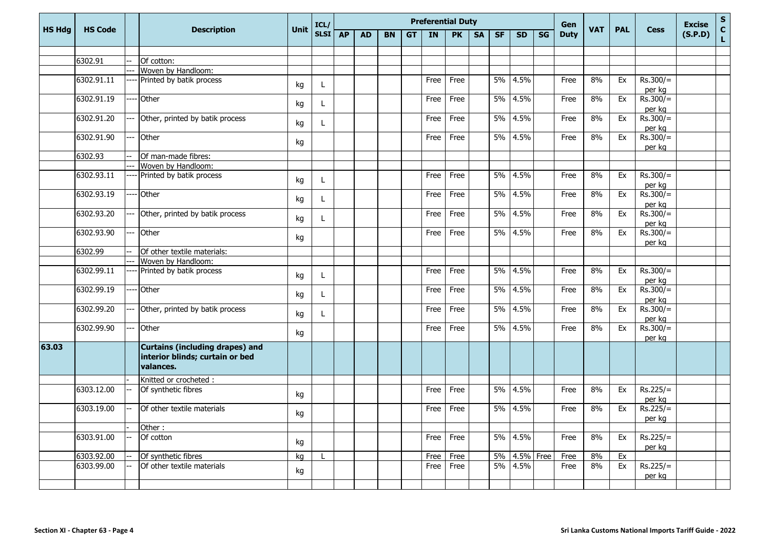|               |                |                                                                                        |      | ICL/              |           |           |           |           |           | <b>Preferential Duty</b> |           |           |           |           | Gen         |            |            |                      | <b>Excise</b> |             |
|---------------|----------------|----------------------------------------------------------------------------------------|------|-------------------|-----------|-----------|-----------|-----------|-----------|--------------------------|-----------|-----------|-----------|-----------|-------------|------------|------------|----------------------|---------------|-------------|
| <b>HS Hdg</b> | <b>HS Code</b> | <b>Description</b>                                                                     | Unit | SLSI <sup> </sup> | <b>AP</b> | <b>AD</b> | <b>BN</b> | <b>GT</b> | <b>IN</b> | <b>PK</b>                | <b>SA</b> | <b>SF</b> | <b>SD</b> | <b>SG</b> | <b>Duty</b> | <b>VAT</b> | <b>PAL</b> | <b>Cess</b>          | (S.P.D)       | S<br>C<br>L |
|               |                |                                                                                        |      |                   |           |           |           |           |           |                          |           |           |           |           |             |            |            |                      |               |             |
|               | 6302.91        | Of cotton:                                                                             |      |                   |           |           |           |           |           |                          |           |           |           |           |             |            |            |                      |               |             |
|               |                | Woven by Handloom:                                                                     |      |                   |           |           |           |           |           |                          |           |           |           |           |             |            |            |                      |               |             |
|               | 6302.91.11     | Printed by batik process                                                               | kg   | L                 |           |           |           |           | Free      | Free                     |           | 5%        | 4.5%      |           | Free        | 8%         | Ex         | $Rs.300/=$           |               |             |
|               |                |                                                                                        |      |                   |           |           |           |           |           |                          |           |           |           |           |             |            |            | per kg               |               |             |
|               | 6302.91.19     | Other                                                                                  | kg   | L                 |           |           |           |           | Free      | Free                     |           | 5%        | 4.5%      |           | Free        | 8%         | Ex         | $Rs.300/=$<br>per kg |               |             |
|               | 6302.91.20     | Other, printed by batik process                                                        | kg   | $\mathbf{L}$      |           |           |           |           | Free      | Free                     |           | 5%        | 4.5%      |           | Free        | 8%         | Ex         | $Rs.300/=$<br>per kg |               |             |
|               | 6302.91.90     | Other                                                                                  | kg   |                   |           |           |           |           | Free      | Free                     |           | 5%        | 4.5%      |           | Free        | 8%         | Ex         | $Rs.300/=$<br>per kg |               |             |
|               | 6302.93        | Of man-made fibres:                                                                    |      |                   |           |           |           |           |           |                          |           |           |           |           |             |            |            |                      |               |             |
|               |                | Woven by Handloom:                                                                     |      |                   |           |           |           |           |           |                          |           |           |           |           |             |            |            |                      |               |             |
|               | 6302.93.11     | Printed by batik process                                                               | kg   | L                 |           |           |           |           | Free      | Free                     |           | 5%        | 4.5%      |           | Free        | 8%         | Ex         | $Rs.300/=$<br>per kg |               |             |
|               | 6302.93.19     | Other                                                                                  | kg   | L                 |           |           |           |           | Free      | Free                     |           | 5%        | 4.5%      |           | Free        | 8%         | Ex         | $Rs.300/=$<br>per kg |               |             |
|               | 6302.93.20     | Other, printed by batik process                                                        | kg   | L                 |           |           |           |           | Free      | Free                     |           | 5%        | 4.5%      |           | Free        | 8%         | Ex         | $Rs.300/=$<br>per kg |               |             |
|               | 6302.93.90     | Other                                                                                  | kg   |                   |           |           |           |           | Free      | Free                     |           | 5%        | 4.5%      |           | Free        | 8%         | Ex         | $Rs.300/=$<br>per kg |               |             |
|               | 6302.99        | Of other textile materials:                                                            |      |                   |           |           |           |           |           |                          |           |           |           |           |             |            |            |                      |               |             |
|               |                | Woven by Handloom:                                                                     |      |                   |           |           |           |           |           |                          |           |           |           |           |             |            |            |                      |               |             |
|               | 6302.99.11     | Printed by batik process                                                               | kg   | L                 |           |           |           |           | Free      | Free                     |           | 5%        | 4.5%      |           | Free        | 8%         | Ex         | $Rs.300/=$<br>per kg |               |             |
|               | 6302.99.19     | Other                                                                                  | kg   | L                 |           |           |           |           | Free      | Free                     |           | 5%        | 4.5%      |           | Free        | 8%         | Ex         | $Rs.300/=$<br>per kg |               |             |
|               | 6302.99.20     | Other, printed by batik process                                                        | kg   | L                 |           |           |           |           | Free      | Free                     |           | 5%        | 4.5%      |           | Free        | 8%         | Ex         | $Rs.300/=$<br>per kg |               |             |
|               | 6302.99.90     | Other                                                                                  | kg   |                   |           |           |           |           | Free      | Free                     |           | 5%        | 4.5%      |           | Free        | 8%         | Ex         | $Rs.300/=$<br>per kg |               |             |
| 63.03         |                | <b>Curtains (including drapes) and</b><br>interior blinds; curtain or bed<br>valances. |      |                   |           |           |           |           |           |                          |           |           |           |           |             |            |            |                      |               |             |
|               |                | Knitted or crocheted :                                                                 |      |                   |           |           |           |           |           |                          |           |           |           |           |             |            |            |                      |               |             |
|               | 6303.12.00     | Of synthetic fibres                                                                    | kg   |                   |           |           |           |           | Free      | Free                     |           | 5%        | 4.5%      |           | Free        | 8%         | Ex         | $Rs.225/=$<br>per kg |               |             |
|               | 6303.19.00     | Of other textile materials                                                             | kg   |                   |           |           |           |           | Free      | Free                     |           | 5%        | 4.5%      |           | Free        | 8%         | Ex         | $Rs.225/=$<br>per kg |               |             |
|               |                | Other:                                                                                 |      |                   |           |           |           |           |           |                          |           |           |           |           |             |            |            |                      |               |             |
|               | 6303.91.00     | Of cotton                                                                              | kg   |                   |           |           |           |           | Free      | Free                     |           | 5%        | 4.5%      |           | Free        | 8%         | Ex         | $Rs.225/=$<br>per kg |               |             |
|               | 6303.92.00     | Of synthetic fibres                                                                    | kg   |                   |           |           |           |           | Free      | Free                     |           | 5%        | 4.5%      | Free      | Free        | 8%         | Ex         |                      |               |             |
|               | 6303.99.00     | Of other textile materials                                                             | kg   |                   |           |           |           |           | Free      | Free                     |           | 5%        | 4.5%      |           | Free        | 8%         | Ex         | $Rs.225/=$<br>per kg |               |             |
|               |                |                                                                                        |      |                   |           |           |           |           |           |                          |           |           |           |           |             |            |            |                      |               |             |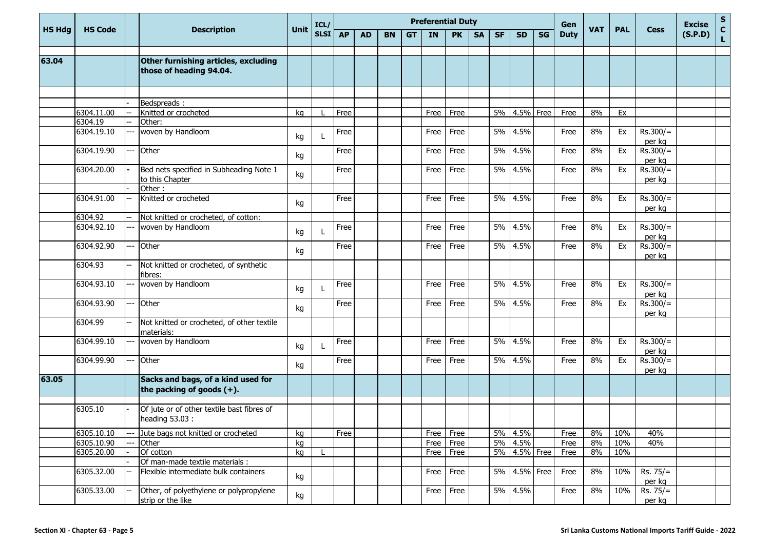|               |                       |     |                                                                    |             | ICL/        |           |           |           |           |           | <b>Preferential Duty</b> |           |           |           |           | Gen         |            |            |                      | <b>Excise</b> | S                  |
|---------------|-----------------------|-----|--------------------------------------------------------------------|-------------|-------------|-----------|-----------|-----------|-----------|-----------|--------------------------|-----------|-----------|-----------|-----------|-------------|------------|------------|----------------------|---------------|--------------------|
| <b>HS Hdg</b> | <b>HS Code</b>        |     | <b>Description</b>                                                 | <b>Unit</b> | <b>SLSI</b> | <b>AP</b> | <b>AD</b> | <b>BN</b> | <b>GT</b> | <b>IN</b> | <b>PK</b>                | <b>SA</b> | <b>SF</b> | <b>SD</b> | <b>SG</b> | <b>Duty</b> | <b>VAT</b> | <b>PAL</b> | <b>Cess</b>          | (S.P.D)       | $\mathbf{C}$<br>L. |
| 63.04         |                       |     | Other furnishing articles, excluding<br>those of heading 94.04.    |             |             |           |           |           |           |           |                          |           |           |           |           |             |            |            |                      |               |                    |
|               |                       |     |                                                                    |             |             |           |           |           |           |           |                          |           |           |           |           |             |            |            |                      |               |                    |
|               |                       |     | Bedspreads:                                                        |             |             |           |           |           |           |           |                          |           |           |           |           |             |            |            |                      |               |                    |
|               | 6304.11.00<br>6304.19 |     | Knitted or crocheted<br>Other:                                     | kg          |             | Free      |           |           |           | Free      | Free                     |           | 5%        | 4.5%      | Free      | Free        | 8%         | Ex         |                      |               |                    |
|               | 6304.19.10            | --- | woven by Handloom                                                  | kg          |             | Free      |           |           |           | Free      | Free                     |           | 5%        | 4.5%      |           | Free        | 8%         | Ex         | $Rs.300/=$           |               |                    |
|               | 6304.19.90            | --- | Other                                                              |             |             | Free      |           |           |           | Free      | Free                     |           | 5%        | 4.5%      |           | Free        | 8%         | Ex         | per kg<br>$Rs.300/=$ |               |                    |
|               |                       |     |                                                                    | kg          |             |           |           |           |           |           |                          |           |           |           |           |             |            |            | per kg               |               |                    |
|               | 6304.20.00            |     | Bed nets specified in Subheading Note 1<br>to this Chapter         | kg          |             | Free      |           |           |           | Free      | Free                     |           | 5%        | 4.5%      |           | Free        | 8%         | Ex         | $Rs.300/=$<br>per kg |               |                    |
|               |                       |     | Other:                                                             |             |             |           |           |           |           |           |                          |           |           |           |           |             |            |            |                      |               |                    |
|               | 6304.91.00            |     | Knitted or crocheted                                               | kg          |             | Free      |           |           |           | Free      | Free                     |           | 5%        | 4.5%      |           | Free        | 8%         | Ex         | $Rs.300/=$<br>per kg |               |                    |
|               | 6304.92               | --  | Not knitted or crocheted, of cotton:                               |             |             |           |           |           |           |           |                          |           |           |           |           |             |            |            |                      |               |                    |
|               | 6304.92.10            | --- | woven by Handloom                                                  | kg          |             | Free      |           |           |           | Free      | Free                     |           | 5%        | 4.5%      |           | Free        | 8%         | Ex         | $Rs.300/=$<br>per kg |               |                    |
|               | 6304.92.90            | --- | Other                                                              | kg          |             | Free      |           |           |           | Free      | Free                     |           | 5%        | 4.5%      |           | Free        | 8%         | Ex         | $Rs.300/=$           |               |                    |
|               | 6304.93               |     | Not knitted or crocheted, of synthetic<br>fibres:                  |             |             |           |           |           |           |           |                          |           |           |           |           |             |            |            | per kg               |               |                    |
|               | 6304.93.10            |     | woven by Handloom                                                  | kg          |             | Free      |           |           |           | Free      | Free                     |           | 5%        | 4.5%      |           | Free        | 8%         | Ex         | $Rs.300/=$<br>per kg |               |                    |
|               | 6304.93.90            |     | Other                                                              | kg          |             | Free      |           |           |           | Free      | Free                     |           | 5%        | 4.5%      |           | Free        | 8%         | Ex         | $Rs.300/=$<br>per kg |               |                    |
|               | 6304.99               |     | Not knitted or crocheted, of other textile<br>materials:           |             |             |           |           |           |           |           |                          |           |           |           |           |             |            |            |                      |               |                    |
|               | 6304.99.10            |     | woven by Handloom                                                  | kg          | L           | Free      |           |           |           | Free      | Free                     |           | 5%        | 4.5%      |           | Free        | 8%         | Ex         | $Rs.300/=$<br>per kg |               |                    |
|               | 6304.99.90            |     | Other                                                              | kg          |             | Free      |           |           |           | Free      | Free                     |           | 5%        | 4.5%      |           | Free        | 8%         | Ex         | $Rs.300/=$<br>per kg |               |                    |
| 63.05         |                       |     | Sacks and bags, of a kind used for<br>the packing of goods $(+)$ . |             |             |           |           |           |           |           |                          |           |           |           |           |             |            |            |                      |               |                    |
|               | 6305.10               |     | Of jute or of other textile bast fibres of<br>heading 53.03 :      |             |             |           |           |           |           |           |                          |           |           |           |           |             |            |            |                      |               |                    |
|               | 6305.10.10            |     | Jute bags not knitted or crocheted                                 | kg          |             | Free      |           |           |           | Free      | Free                     |           | 5%        | 4.5%      |           | Free        | 8%         | 10%        | 40%                  |               |                    |
|               | 6305.10.90            |     | Other                                                              | kg          |             |           |           |           |           | Free      | Free                     |           |           | 5% 4.5%   |           | Free        | 8%         | 10%        | 40%                  |               |                    |
|               | 6305.20.00            |     | Of cotton                                                          | kg          |             |           |           |           |           | Free      | Free                     |           | 5%        | 4.5% Free |           | Free        | 8%         | 10%        |                      |               |                    |
|               |                       |     | Of man-made textile materials :                                    |             |             |           |           |           |           |           |                          |           |           |           |           |             |            |            |                      |               |                    |
|               | 6305.32.00            |     | Flexible intermediate bulk containers                              | kg          |             |           |           |           |           | Free      | Free                     |           | 5%        | 4.5% Free |           | Free        | $8\%$      | 10%        | $Rs. 75/=$<br>per kg |               |                    |
|               | 6305.33.00            |     | Other, of polyethylene or polypropylene<br>strip or the like       | kg          |             |           |           |           |           | Free      | Free                     |           |           | 5% 4.5%   |           | Free        | 8%         | 10%        | $Rs. 75/=$<br>per kg |               |                    |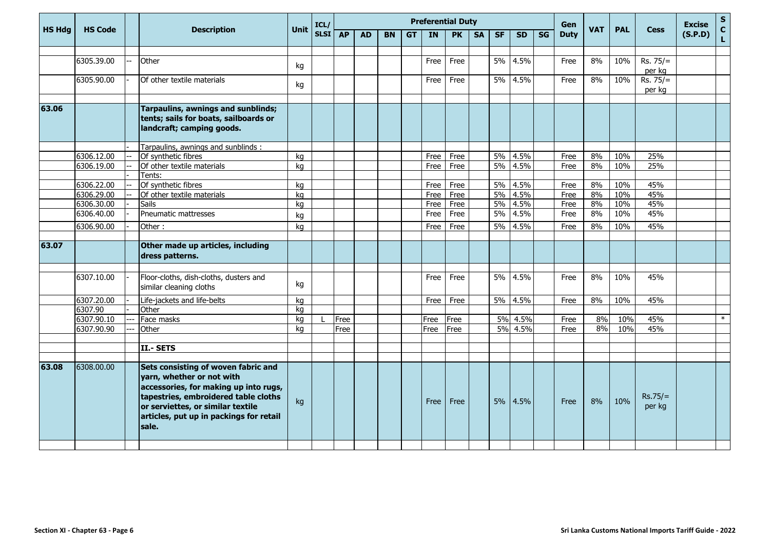|               |                |                                                                                                                                                                                                                                            |      | ICL/        |           |           |           |           |           | <b>Preferential Duty</b> |           |           |           |           | Gen         |            |            |                      | <b>Excise</b> | $\mathbf S$                 |
|---------------|----------------|--------------------------------------------------------------------------------------------------------------------------------------------------------------------------------------------------------------------------------------------|------|-------------|-----------|-----------|-----------|-----------|-----------|--------------------------|-----------|-----------|-----------|-----------|-------------|------------|------------|----------------------|---------------|-----------------------------|
| <b>HS Hdg</b> | <b>HS Code</b> | <b>Description</b>                                                                                                                                                                                                                         | Unit | <b>SLSI</b> | <b>AP</b> | <b>AD</b> | <b>BN</b> | <b>GT</b> | <b>IN</b> | <b>PK</b>                | <b>SA</b> | <b>SF</b> | <b>SD</b> | <b>SG</b> | <b>Duty</b> | <b>VAT</b> | <b>PAL</b> | <b>Cess</b>          | (S.P.D)       | $\mathbf{C}$<br>$\mathbf L$ |
|               | 6305.39.00     | Other                                                                                                                                                                                                                                      |      |             |           |           |           |           | Free      | Free                     |           | <b>5%</b> | 4.5%      |           | Free        | 8%         | 10%        | $Rs. 75/=$           |               |                             |
|               |                |                                                                                                                                                                                                                                            | kg   |             |           |           |           |           |           |                          |           |           |           |           |             |            |            | per kg               |               |                             |
|               | 6305.90.00     | Of other textile materials                                                                                                                                                                                                                 | kg   |             |           |           |           |           | Free      | Free                     |           | $5\%$     | 4.5%      |           | Free        | 8%         | 10%        | $Rs. 75/=$<br>per kg |               |                             |
| 63.06         |                | Tarpaulins, awnings and sunblinds;<br>tents; sails for boats, sailboards or<br>landcraft; camping goods.                                                                                                                                   |      |             |           |           |           |           |           |                          |           |           |           |           |             |            |            |                      |               |                             |
|               |                | Tarpaulins, awnings and sunblinds:                                                                                                                                                                                                         |      |             |           |           |           |           |           |                          |           |           |           |           |             |            |            |                      |               |                             |
|               | 6306.12.00     | Of synthetic fibres                                                                                                                                                                                                                        | kg   |             |           |           |           |           | Free      | Free                     |           | $5\%$     | 4.5%      |           | Free        | 8%         | 10%        | 25%                  |               |                             |
|               | 6306.19.00     | Of other textile materials                                                                                                                                                                                                                 | kg   |             |           |           |           |           | Free      | Free                     |           | $5\%$     | 4.5%      |           | Free        | 8%         | 10%        | 25%                  |               |                             |
|               |                | Tents:                                                                                                                                                                                                                                     |      |             |           |           |           |           |           |                          |           |           |           |           |             |            |            |                      |               |                             |
|               | 6306.22.00     | Of synthetic fibres                                                                                                                                                                                                                        | ka   |             |           |           |           |           | Free      | Free                     |           | 5%        | 4.5%      |           | Free        | 8%         | 10%        | 45%                  |               |                             |
|               | 6306.29.00     | Of other textile materials                                                                                                                                                                                                                 | kg   |             |           |           |           |           | Free      | Free                     |           | 5%        | 4.5%      |           | Free        | 8%         | 10%        | 45%                  |               |                             |
|               | 6306.30.00     | Sails                                                                                                                                                                                                                                      | kg   |             |           |           |           |           | Free      | Free                     |           | 5%        | 4.5%      |           | Free        | 8%         | 10%        | 45%                  |               |                             |
|               | 6306.40.00     | Pneumatic mattresses                                                                                                                                                                                                                       | kg   |             |           |           |           |           | Free      | Free                     |           | 5%        | 4.5%      |           | Free        | 8%         | 10%        | 45%                  |               |                             |
|               | 6306.90.00     | Other:                                                                                                                                                                                                                                     | kg   |             |           |           |           |           | Free      | Free                     |           | 5%        | 4.5%      |           | Free        | 8%         | 10%        | 45%                  |               |                             |
| 63.07         |                | Other made up articles, including<br>dress patterns.                                                                                                                                                                                       |      |             |           |           |           |           |           |                          |           |           |           |           |             |            |            |                      |               |                             |
|               | 6307.10.00     | Floor-cloths, dish-cloths, dusters and<br>similar cleaning cloths                                                                                                                                                                          | kg   |             |           |           |           |           | Free      | Free                     |           | 5%        | 4.5%      |           | Free        | 8%         | 10%        | 45%                  |               |                             |
|               | 6307.20.00     | Life-jackets and life-belts                                                                                                                                                                                                                | kg   |             |           |           |           |           | Free      | Free                     |           |           | 5% 4.5%   |           | Free        | 8%         | 10%        | 45%                  |               |                             |
|               | 6307.90        | Other                                                                                                                                                                                                                                      | ka   |             |           |           |           |           |           |                          |           |           |           |           |             |            |            |                      |               |                             |
|               | 6307.90.10     | Face masks                                                                                                                                                                                                                                 | kg   |             | Free      |           |           |           | Free      | Free                     |           | $5\%$     | 4.5%      |           | Free        | 8%         | 10%        | 45%                  |               | $\ast$                      |
|               | 6307.90.90     | Other                                                                                                                                                                                                                                      | kg   |             | Free      |           |           |           | Free      | Free                     |           | 5%        | 4.5%      |           | Free        | 8%         | 10%        | 45%                  |               |                             |
|               |                |                                                                                                                                                                                                                                            |      |             |           |           |           |           |           |                          |           |           |           |           |             |            |            |                      |               |                             |
|               |                | II.- SETS                                                                                                                                                                                                                                  |      |             |           |           |           |           |           |                          |           |           |           |           |             |            |            |                      |               |                             |
|               |                |                                                                                                                                                                                                                                            |      |             |           |           |           |           |           |                          |           |           |           |           |             |            |            |                      |               |                             |
| 63.08         | 6308.00.00     | Sets consisting of woven fabric and<br>yarn, whether or not with<br>accessories, for making up into rugs,<br>tapestries, embroidered table cloths<br>or serviettes, or similar textile<br>articles, put up in packings for retail<br>sale. | kg   |             |           |           |           |           | Free      | Free                     |           |           | 5% 4.5%   |           | Free        | 8%         | 10%        | $Rs.75/=$<br>per kg  |               |                             |
|               |                |                                                                                                                                                                                                                                            |      |             |           |           |           |           |           |                          |           |           |           |           |             |            |            |                      |               |                             |